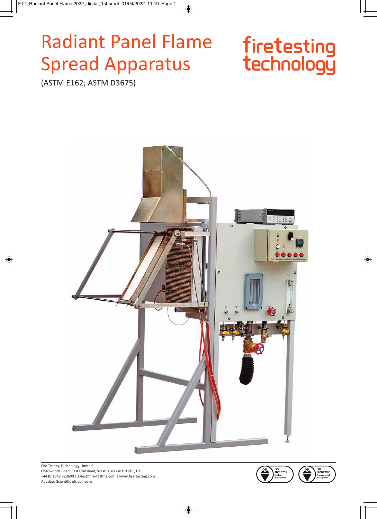# **Radiant Panel Flame Spread Apparatus**

# firetesting<br>technology

(ASTM E162; ASTM D3675)



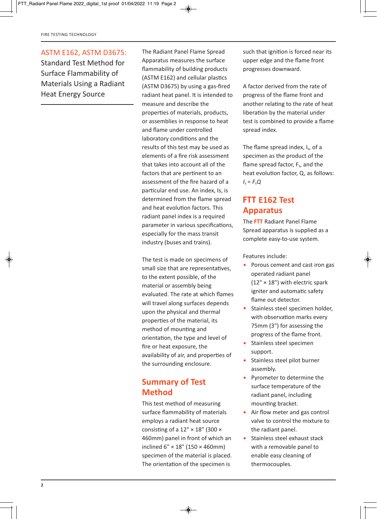#### ASTM E162, ASTM D3675:

Standard Test Method for Surface Flammability of Materials Using a Radiant Heat Energy Source

The Radiant Panel Flame Spread Apparatus measures the surface flammability of building products (ASTM E162) and cellular plastics (ASTM D3675) by using a gas-fired radiant heat panel. It is intended to measure and describe the properties of materials, products, or assemblies in response to heat and flame under controlled laboratory conditions and the results of this test may be used as elements of a fire risk assessment that takes into account all of the factors that are pertinent to an assessment of the fire hazard of a particular end use. An index, Is, is determined from the flame spread and heat evolution factors. This radiant panel index is a required parameter in various specifications, especially for the mass transit industry (buses and trains).

The test is made on specimens of small size that are representatives, to the extent possible, of the material or assembly being evaluated. The rate at which flames will travel along surfaces depends upon the physical and thermal properties of the material, its method of mounting and orientation, the type and level of fire or heat exposure, the availability of air, and properties of the surrounding enclosure.

#### **Summary of Test Method**

This test method of measuring surface flammability of materials employs a radiant heat source consisting of a  $12" \times 18"$  (300  $\times$ 460mm) panel in front of which an inclined 6" × 18" (150 × 460mm) specimen of the material is placed. The orientation of the specimen is

such that ignition is forced near its upper edge and the flame front progresses downward.

A factor derived from the rate of progress of the flame front and another relating to the rate of heat liberation by the material under test is combined to provide a flame spread index.

The flame spread index, I<sub>s</sub>, of a specimen as the product of the flame spread factor,  $F_s$ , and the heat evolution factor, Q, as follows:  $I_s = F_s Q$ 

#### **FTT E162 Test Apparatus**

The **FTT** Radiant Panel Flame Spread apparatus is supplied as a complete easy-to-use system.

Features include:

- Porous cement and cast iron gas operated radiant panel  $(12" \times 18")$  with electric spark igniter and automatic safety flame out detector.
- Stainless steel specimen holder, with observation marks every 75mm (3") for assessing the progress of the flame front.
- Stainless steel specimen support.
- Stainless steel pilot burner assembly.
- Pyrometer to determine the surface temperature of the radiant panel, including mounting bracket.
- Air flow meter and gas control valve to control the mixture to the radiant panel.
- Stainless steel exhaust stack with a removable panel to enable easy cleaning of thermocouples.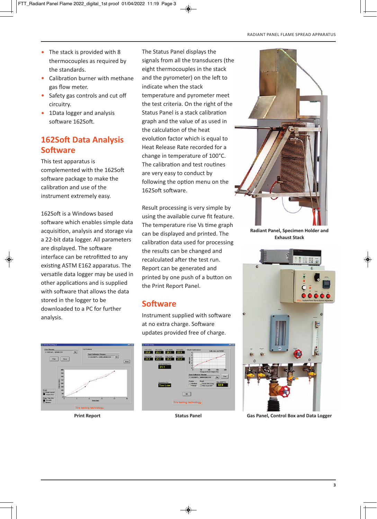- The stack is provided with 8 thermocouples as required by the standards.
- Calibration burner with methane gas flow meter.
- Safety gas controls and cut off circuitry.
- 1Data logger and analysis software 162Soft.

#### **162Soft Data Analysis Software**

This test apparatus is complemented with the 162Soft software package to make the calibration and use of the instrument extremely easy.

162Soft is a Windows based software which enables simple data acquisition, analysis and storage via a 22-bit data logger. All parameters are displayed. The software interface can be retrofitted to any existing ASTM E162 apparatus. The versatile data logger may be used in other applications and is supplied with software that allows the data stored in the logger to be downloaded to a PC for further analysis.

The Status Panel displays the signals from all the transducers (the eight thermocouples in the stack and the pyrometer) on the left to indicate when the stack temperature and pyrometer meet the test criteria. On the right of the Status Panel is a stack calibration graph and the value of as used in the calculation of the heat evolution factor which is equal to Heat Release Rate recorded for a change in temperature of 100°C. The calibration and test routines are very easy to conduct by following the option menu on the 162Soft software.

Result processing is very simple by using the available curve fit feature. The temperature rise Vs time graph can be displayed and printed. The calibration data used for processing the results can be changed and recalculated after the test run. Report can be generated and printed by one push of a button on the Print Report Panel.

#### **Software**

Instrument supplied with software at no extra charge. Software updates provided free of charge.







**Radiant Panel, Specimen Holder and Exhaust Stack**



**Print Report Status Panel Gas Panel, Control Box and Data Logger**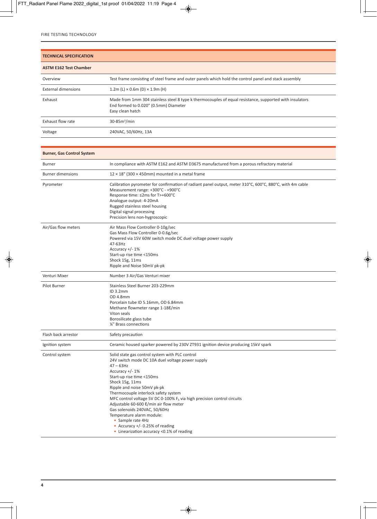| <b>TECHNICAL SPECIFICATION</b> |                                                                                                                                                                      |  |
|--------------------------------|----------------------------------------------------------------------------------------------------------------------------------------------------------------------|--|
| <b>ASTM E162 Test Chamber</b>  |                                                                                                                                                                      |  |
| Overview                       | Test frame consisting of steel frame and outer panels which hold the control panel and stack assembly                                                                |  |
| <b>External dimensions</b>     | $1.2m$ (L) $\times$ 0.6m (D) $\times$ 1.9m (H)                                                                                                                       |  |
| Exhaust                        | Made from 1mm 304 stainless steel 8 type k thermocouples of equal resistance, supported with insulators<br>End formed to 0.020" (0.5mm) Diameter<br>Easy clean hatch |  |
| Exhaust flow rate              | $30-85m3/min$                                                                                                                                                        |  |
| Voltage                        | 240VAC, 50/60Hz, 13A                                                                                                                                                 |  |

| <b>Burner, Gas Control System</b> |                                                                                                                                                                                                                                                                                                                                                                                                                                                                                                                                                            |
|-----------------------------------|------------------------------------------------------------------------------------------------------------------------------------------------------------------------------------------------------------------------------------------------------------------------------------------------------------------------------------------------------------------------------------------------------------------------------------------------------------------------------------------------------------------------------------------------------------|
| <b>Burner</b>                     | In compliance with ASTM E162 and ASTM D3675 manufactured from a porous refractory material                                                                                                                                                                                                                                                                                                                                                                                                                                                                 |
| <b>Burner dimensions</b>          | $12 \times 18$ " (300 $\times$ 450mm) mounted in a metal frame                                                                                                                                                                                                                                                                                                                                                                                                                                                                                             |
| Pyrometer                         | Calibration pyrometer for confirmation of radiant panel output, meter 310°C, 600°C, 880°C, with 4m cable<br>Measurement range: +300°C - +900°C<br>Response time: ≤2ms for T>+600°C<br>Analogue output: 4-20mA<br>Rugged stainless steel housing<br>Digital signal processing<br>Precision lens non-hygroscopic                                                                                                                                                                                                                                             |
| Air/Gas flow meters               | Air Mass Flow Controller 0-10g/sec<br>Gas Mass Flow Controller 0-0.6g/sec<br>Powered via 15V 60W switch mode DC duel voltage power supply<br>47-63Hz<br>Accuracy $+/- 1\%$<br>Start-up rise time <150ms<br>Shock 15g, 11ms<br>Ripple and Noise 50mV pk-pk                                                                                                                                                                                                                                                                                                  |
| Venturi Mixer                     | Number 3 Air/Gas Venturi mixer                                                                                                                                                                                                                                                                                                                                                                                                                                                                                                                             |
| Pilot Burner                      | Stainless Steel Burner 203-229mm<br>$ID$ 3.2mm<br><b>OD 4.8mm</b><br>Porcelain tube ID 5.16mm, OD 6.84mm<br>Methane flowmeter range 1-188/min<br>Viton seals<br>Borosilicate glass tube<br>1/4" Brass connections                                                                                                                                                                                                                                                                                                                                          |
| Flash back arrestor               | Safety precaution                                                                                                                                                                                                                                                                                                                                                                                                                                                                                                                                          |
| Ignition system                   | Ceramic housed sparker powered by 230V ZT931 ignition device producing 15kV spark                                                                                                                                                                                                                                                                                                                                                                                                                                                                          |
| Control system                    | Solid state gas control system with PLC control<br>24V switch mode DC 10A duel voltage power supply<br>$47 - 63$ Hz<br>Accuracy +/- 1%<br>Start-up rise time <150ms<br>Shock 15g, 11ms<br>Ripple and noise 50mV pk-pk<br>Thermocouple interlock safety system<br>MFC control voltage 5V DC 0-100% $F_s$ via high precision control circuits<br>Adjustable 60-600 &/min air flow meter<br>Gas solenoids 240VAC, 50/60Hz<br>Temperature alarm module:<br>• Sample rate 4Hz<br>• Accuracy $+/- 0.25%$ of reading<br>• Linearization accuracy <0.1% of reading |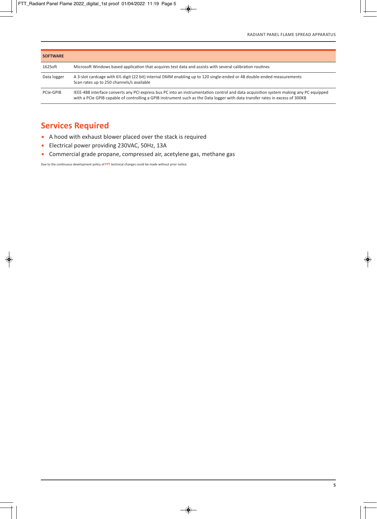| <b>SOFTWARE</b> |                                                                                                                                                                                                                                                                        |
|-----------------|------------------------------------------------------------------------------------------------------------------------------------------------------------------------------------------------------------------------------------------------------------------------|
| 162Soft         | Microsoft Windows based application that acquires test data and assists with several calibration routines                                                                                                                                                              |
| Data logger     | A 3-slot cardcage with 6% digit (22 bit) internal DMM enabling up to 120 single-ended or 48 double-ended measurements<br>Scan rates up to 250 channels/s available                                                                                                     |
| PCIe-GPIB       | IEEE-488 interface converts any PCI express bus PC into an instrumentation control and data acquisition system making any PC equipped<br>with a PCIe GPIB capable of controlling a GPIB instrument such as the Data logger with data transfer rates in excess of 300KB |

### **Services Required**

- A hood with exhaust blower placed over the stack is required
- Electrical power providing 230VAC, 50Hz, 13A
- Commercial grade propane, compressed air, acetylene gas, methane gas

Due to the continuous development policy of **FTT** technical changes could be made without prior notice.